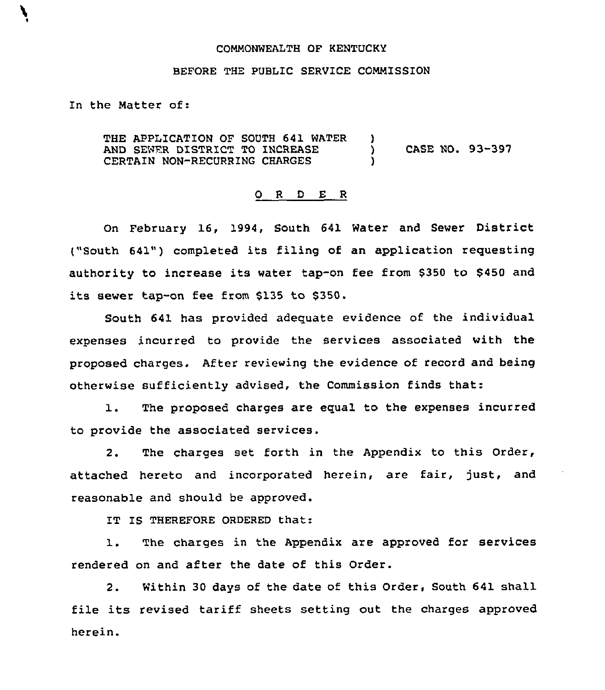## COMMONWEALTH OF KENTUCKY

## BEFORE THE PUBLIC SERVICE COMMISSION

In the Matter of:

THE APPLICATION OF SOUTH 641 WATER AND SEWER DISTRICT TO INCREASE CERTAIN NON-RECURRING CHARGES )<br>) ) CASE NO. 93-397 )

## 0 <sup>R</sup> <sup>D</sup> E <sup>R</sup>

On February 16, 1994, South 641 Water and Sewer District ("South 641") completed its filing of an application requesting authority to increase its water tap-on fee from \$<sup>350</sup> to 5450 and its sewer tap-on fee from \$135 to 5350.

South 641 has provided adequate evidence of the individual expenses incurred to provide the services associated with the proposed charges. After reviewing the evidence of record and being otherwise sufficiently advised, the Commission finds that:

1. The proposed charges are equal to the expenses incurred to provide the associated services.

2. The charges set forth in the Appendix to this Order, attached hereto and incorporated herein, are fair, just, and reasonable and should be approved.

IT IS THEREFORE ORDERED that:

1. The charges in the Appendix are approved for services rendered on and after the date of this Order.

2. Within 30 days of the date of this Order, South 641 shall file its revised tariff sheets setting out the charges approved herein.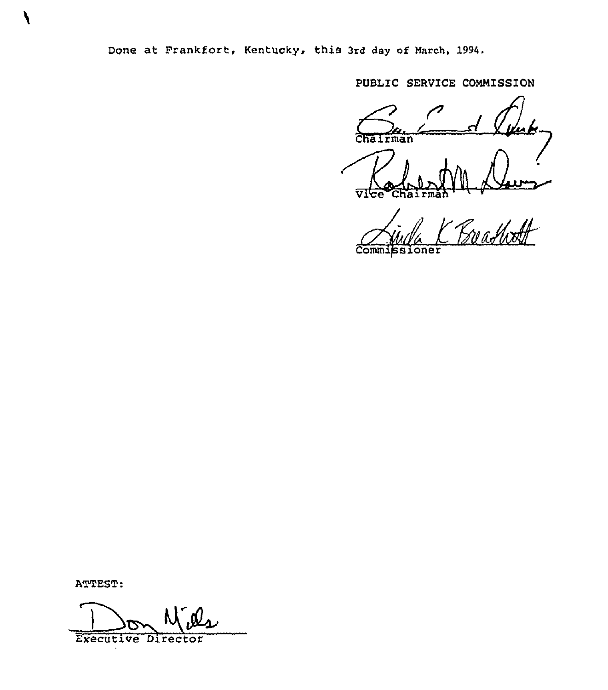Done at Frankfort, Kentucky, this 3rd day of March, 1994.

PUBLIC SERVICE COMMISSION

Chairman z Vice Chairman

Commissioner

ATTEST:

 $\boldsymbol{\prime}$ 

Executive Director